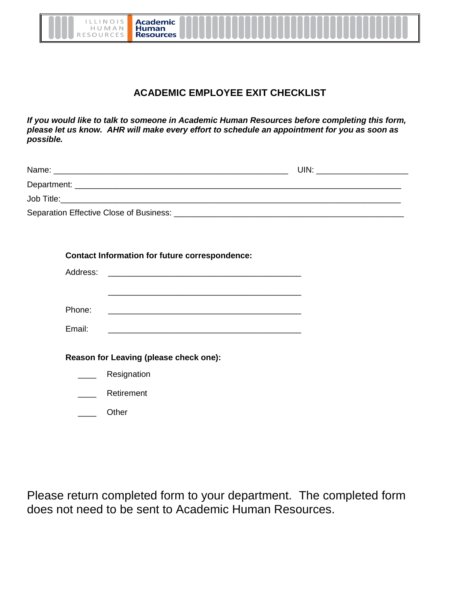

**Academic** Human<br>Resources

## **ACADEMIC EMPLOYEE EXIT CHECKLIST**

*If you would like to talk to someone in Academic Human Resources before completing this form, please let us know. AHR will make every effort to schedule an appointment for you as soon as possible.*

| Name:                                                                                                                                                                                                                               | UIN: |
|-------------------------------------------------------------------------------------------------------------------------------------------------------------------------------------------------------------------------------------|------|
| Department: _                                                                                                                                                                                                                       |      |
| <b>Job Title:</b> The Contract of the Contract of the Contract of the Contract of the Contract of the Contract of the Contract of the Contract of the Contract of the Contract of the Contract of the Contract of the Contract of t |      |
| Separation Effective Close of Business:                                                                                                                                                                                             |      |

| <b>Contact Information for future correspondence:</b> |             |  |
|-------------------------------------------------------|-------------|--|
| Address:                                              |             |  |
|                                                       |             |  |
|                                                       |             |  |
| Phone:                                                |             |  |
| Email:                                                |             |  |
|                                                       |             |  |
| Reason for Leaving (please check one):                |             |  |
|                                                       | Resignation |  |
|                                                       | Retirement  |  |

\_\_\_\_ Other

Please return completed form to your department. The completed form does not need to be sent to Academic Human Resources.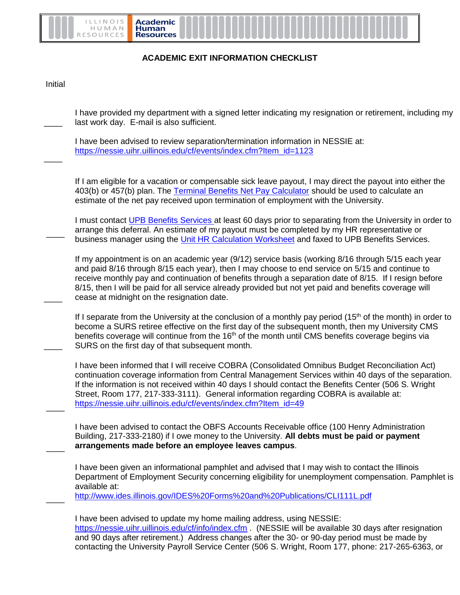

## **ACADEMIC EXIT INFORMATION CHECKLIST**

Initial

 $\overline{\phantom{a}}$ 

 $\overline{\phantom{a}}$ 

 $\overline{\phantom{a}}$ 

 $\overline{\phantom{a}}$ 

 $\overline{\phantom{a}}$ 

 $\overline{\phantom{a}}$ 

 $\overline{\phantom{a}}$ 

 $\overline{\phantom{a}}$ 

I have provided my department with a signed letter indicating my resignation or retirement, including my last work day. E-mail is also sufficient.

I have been advised to review separation/termination information in NESSIE at: [https://nessie.uihr.uillinois.edu/cf/events/index.cfm?Item\\_id=1123](https://nessie.uihr.uillinois.edu/cf/events/index.cfm?Item_id=1123)

If I am eligible for a vacation or compensable sick leave payout, I may direct the payout into either the 403(b) or 457(b) plan. The [Terminal Benefits Net Pay Calculator](https://www.obfs.uillinois.edu/payroll/) should be used to calculate an estimate of the net pay received upon termination of employment with the University.

I must contact [UPB Benefits Services a](https://nessie.uihr.uillinois.edu/cf/index.cfm?Item_ID=4)t least 60 days prior to separating from the University in order to arrange this deferral. An estimate of my payout must be completed by my HR representative or business manager using the [Unit HR Calculation Worksheet](https://nessie.uihr.uillinois.edu/pdf/benefits/UnitHRTBPCalcSheet.pdf) and faxed to UPB Benefits Services.

If my appointment is on an academic year (9/12) service basis (working 8/16 through 5/15 each year and paid 8/16 through 8/15 each year), then I may choose to end service on 5/15 and continue to receive monthly pay and continuation of benefits through a separation date of 8/15. If I resign before 8/15, then I will be paid for all service already provided but not yet paid and benefits coverage will cease at midnight on the resignation date.

If I separate from the University at the conclusion of a monthly pay period  $(15<sup>th</sup>$  of the month) in order to become a SURS retiree effective on the first day of the subsequent month, then my University CMS benefits coverage will continue from the 16<sup>th</sup> of the month until CMS benefits coverage begins via SURS on the first day of that subsequent month.

I have been informed that I will receive COBRA (Consolidated Omnibus Budget Reconciliation Act) continuation coverage information from Central Management Services within 40 days of the separation. If the information is not received within 40 days I should contact the Benefits Center (506 S. Wright Street, Room 177, 217-333-3111). General information regarding COBRA is available at: [https://nessie.uihr.uillinois.edu/cf/events/index.cfm?Item\\_id=49](https://nessie.uihr.uillinois.edu/cf/events/index.cfm?Item_id=49)

I have been advised to contact the OBFS Accounts Receivable office (100 Henry Administration Building, 217-333-2180) if I owe money to the University. **All debts must be paid or payment arrangements made before an employee leaves campus**.

I have been given an informational pamphlet and advised that I may wish to contact the Illinois Department of Employment Security concerning eligibility for unemployment compensation. Pamphlet is available at:

<http://www.ides.illinois.gov/IDES%20Forms%20and%20Publications/CLI111L.pdf>

I have been advised to update my home mailing address, using NESSIE: <https://nessie.uihr.uillinois.edu/cf/info/index.cfm> . (NESSIE will be available 30 days after resignation and 90 days after retirement.) Address changes after the 30- or 90-day period must be made by contacting the University Payroll Service Center (506 S. Wright, Room 177, phone: 217-265-6363, or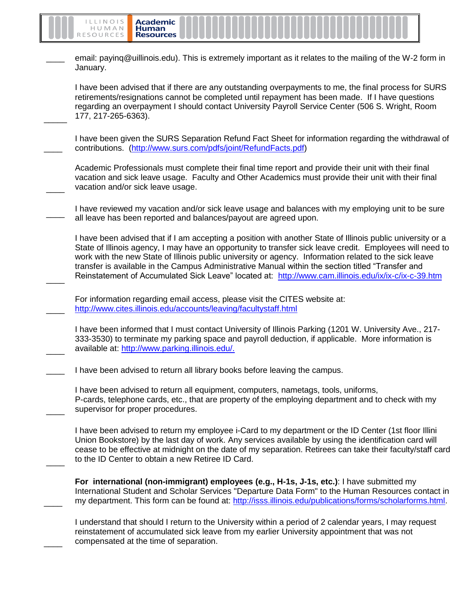

email: paying@uillinois.edu). This is extremely important as it relates to the mailing of the W-2 form in January.

I have been advised that if there are any outstanding overpayments to me, the final process for SURS retirements/resignations cannot be completed until repayment has been made. If I have questions regarding an overpayment I should contact University Payroll Service Center (506 S. Wright, Room 177, 217-265-6363).

 $\overline{\phantom{a}}$ I have been given the SURS Separation Refund Fact Sheet for information regarding the withdrawal of contributions. [\(http://www.surs.com/pdfs/joint/RefundFacts.pdf\)](http://www.surs.com/pdfs/joint/RefundFacts.pdf)

Academic Professionals must complete their final time report and provide their unit with their final vacation and sick leave usage. Faculty and Other Academics must provide their unit with their final vacation and/or sick leave usage.

 $\overline{\phantom{a}}$ I have reviewed my vacation and/or sick leave usage and balances with my employing unit to be sure all leave has been reported and balances/payout are agreed upon.

I have been advised that if I am accepting a position with another State of Illinois public university or a State of Illinois agency, I may have an opportunity to transfer sick leave credit. Employees will need to work with the new State of Illinois public university or agency. Information related to the sick leave transfer is available in the Campus Administrative Manual within the section titled "Transfer and Reinstatement of Accumulated Sick Leave" located at: <http://www.cam.illinois.edu/ix/ix-c/ix-c-39.htm>

For information regarding email access, please visit the CITES website at: http://www.cites.illinois.edu/accounts/leaving/facultystaff.html

 $\overline{\phantom{a}}$ 

 $\overline{\phantom{a}}$ 

 $\overline{\phantom{a}}$ 

 $\overline{\phantom{a}}$ 

 $\overline{\phantom{a}}$ 

 $\overline{\phantom{a}}$ 

 $\overline{\phantom{a}}$ 

 $\overline{\phantom{a}}$ 

 $\overline{\phantom{a}}$ 

I have been informed that I must contact University of Illinois Parking (1201 W. University Ave., 217- 333-3530) to terminate my parking space and payroll deduction, if applicable. More information is available at: http://www.parking.illinois.edu/.

I have been advised to return all library books before leaving the campus.

I have been advised to return all equipment, computers, nametags, tools, uniforms, P-cards, telephone cards, etc., that are property of the employing department and to check with my supervisor for proper procedures.

I have been advised to return my employee i-Card to my department or the ID Center (1st floor Illini Union Bookstore) by the last day of work. Any services available by using the identification card will cease to be effective at midnight on the date of my separation. Retirees can take their faculty/staff card to the ID Center to obtain a new Retiree ID Card.

**For international (non-immigrant) employees (e.g., H-1s, J-1s, etc.)**: I have submitted my International Student and Scholar Services "Departure Data Form" to the Human Resources contact in my department. This form can be found at: [http://isss.illinois.edu/publications/forms/scholarforms.html.](http://isss.illinois.edu/publications/forms/scholarforms.html)

I understand that should I return to the University within a period of 2 calendar years, I may request reinstatement of accumulated sick leave from my earlier University appointment that was not compensated at the time of separation.